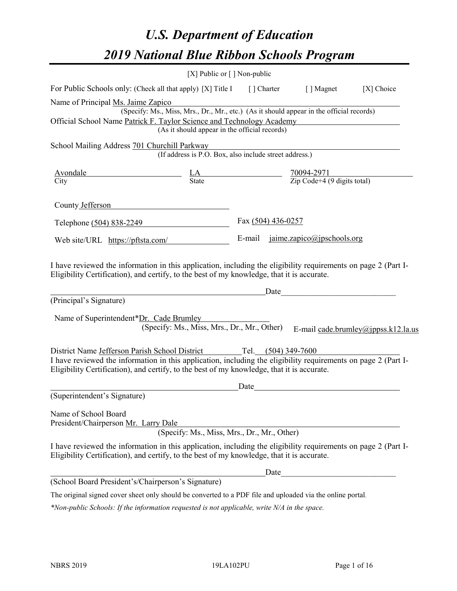# *U.S. Department of Education 2019 National Blue Ribbon Schools Program*

|                                                                                                                                                                                                              | [X] Public or [] Non-public                                                                 |                    |                                                     |                                     |
|--------------------------------------------------------------------------------------------------------------------------------------------------------------------------------------------------------------|---------------------------------------------------------------------------------------------|--------------------|-----------------------------------------------------|-------------------------------------|
| For Public Schools only: (Check all that apply) [X] Title I [] Charter [] Magnet                                                                                                                             |                                                                                             |                    |                                                     | [X] Choice                          |
| Name of Principal Ms. Jaime Zapico                                                                                                                                                                           |                                                                                             |                    |                                                     |                                     |
|                                                                                                                                                                                                              | (Specify: Ms., Miss, Mrs., Dr., Mr., etc.) (As it should appear in the official records)    |                    |                                                     |                                     |
| Official School Name Patrick F. Taylor Science and Technology Academy                                                                                                                                        |                                                                                             |                    |                                                     |                                     |
|                                                                                                                                                                                                              | (As it should appear in the official records)                                               |                    |                                                     |                                     |
| School Mailing Address 701 Churchill Parkway                                                                                                                                                                 |                                                                                             |                    |                                                     |                                     |
|                                                                                                                                                                                                              | urchill Parkway<br>(If address is P.O. Box, also include street address.)                   |                    |                                                     |                                     |
|                                                                                                                                                                                                              |                                                                                             |                    |                                                     |                                     |
| $\frac{\text{Avondale}}{\text{City}}$ $\frac{\text{LA}}{\text{State}}$ $\frac{70094-2971}{\text{Zip Code}+4 (9 \text{ digits total})}$                                                                       |                                                                                             |                    |                                                     |                                     |
| County Jefferson                                                                                                                                                                                             |                                                                                             |                    |                                                     |                                     |
| Telephone (504) 838-2249                                                                                                                                                                                     |                                                                                             | Fax (504) 436-0257 |                                                     |                                     |
| Web site/URL https://pftsta.com/                                                                                                                                                                             |                                                                                             |                    | E-mail jaime.zapico@jpschools.org                   |                                     |
| (Principal's Signature)<br>Name of Superintendent*Dr. Cade Brumley                                                                                                                                           | <u> 1980 - Johann Barn, fransk politik (</u><br>(Specify: Ms., Miss, Mrs., Dr., Mr., Other) |                    |                                                     | E-mail cade.brumley@jppss.k12.la.us |
| District Name Jefferson Parish School District Tel. (504) 349-7600                                                                                                                                           |                                                                                             |                    |                                                     |                                     |
| I have reviewed the information in this application, including the eligibility requirements on page 2 (Part I-<br>Eligibility Certification), and certify, to the best of my knowledge, that it is accurate. |                                                                                             |                    |                                                     |                                     |
|                                                                                                                                                                                                              |                                                                                             | Date               | <u> 1989 - Andrea Station Barbara, amerikan per</u> |                                     |
| (Superintendent's Signature)                                                                                                                                                                                 |                                                                                             |                    |                                                     |                                     |
| Name of School Board<br>President/Chairperson Mr. Larry Dale                                                                                                                                                 | (Specify: Ms., Miss, Mrs., Dr., Mr., Other)                                                 |                    |                                                     |                                     |
| I have reviewed the information in this application, including the eligibility requirements on page 2 (Part I-<br>Eligibility Certification), and certify, to the best of my knowledge, that it is accurate. |                                                                                             |                    |                                                     |                                     |
|                                                                                                                                                                                                              |                                                                                             | Date               |                                                     |                                     |
| (School Board President's/Chairperson's Signature)                                                                                                                                                           |                                                                                             |                    |                                                     |                                     |
| The original signed cover sheet only should be converted to a PDF file and uploaded via the online portal.                                                                                                   |                                                                                             |                    |                                                     |                                     |

*\*Non-public Schools: If the information requested is not applicable, write N/A in the space.*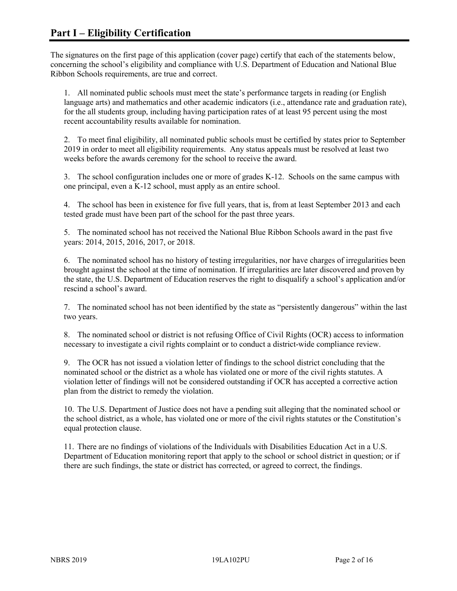The signatures on the first page of this application (cover page) certify that each of the statements below, concerning the school's eligibility and compliance with U.S. Department of Education and National Blue Ribbon Schools requirements, are true and correct.

1. All nominated public schools must meet the state's performance targets in reading (or English language arts) and mathematics and other academic indicators (i.e., attendance rate and graduation rate), for the all students group, including having participation rates of at least 95 percent using the most recent accountability results available for nomination.

2. To meet final eligibility, all nominated public schools must be certified by states prior to September 2019 in order to meet all eligibility requirements. Any status appeals must be resolved at least two weeks before the awards ceremony for the school to receive the award.

3. The school configuration includes one or more of grades K-12. Schools on the same campus with one principal, even a K-12 school, must apply as an entire school.

4. The school has been in existence for five full years, that is, from at least September 2013 and each tested grade must have been part of the school for the past three years.

5. The nominated school has not received the National Blue Ribbon Schools award in the past five years: 2014, 2015, 2016, 2017, or 2018.

6. The nominated school has no history of testing irregularities, nor have charges of irregularities been brought against the school at the time of nomination. If irregularities are later discovered and proven by the state, the U.S. Department of Education reserves the right to disqualify a school's application and/or rescind a school's award.

7. The nominated school has not been identified by the state as "persistently dangerous" within the last two years.

8. The nominated school or district is not refusing Office of Civil Rights (OCR) access to information necessary to investigate a civil rights complaint or to conduct a district-wide compliance review.

9. The OCR has not issued a violation letter of findings to the school district concluding that the nominated school or the district as a whole has violated one or more of the civil rights statutes. A violation letter of findings will not be considered outstanding if OCR has accepted a corrective action plan from the district to remedy the violation.

10. The U.S. Department of Justice does not have a pending suit alleging that the nominated school or the school district, as a whole, has violated one or more of the civil rights statutes or the Constitution's equal protection clause.

11. There are no findings of violations of the Individuals with Disabilities Education Act in a U.S. Department of Education monitoring report that apply to the school or school district in question; or if there are such findings, the state or district has corrected, or agreed to correct, the findings.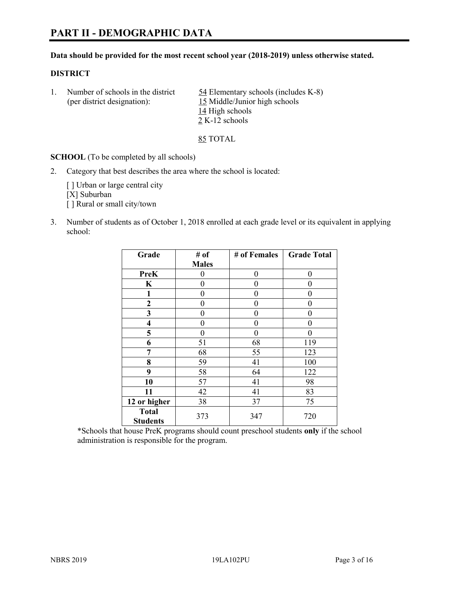# **PART II - DEMOGRAPHIC DATA**

#### **Data should be provided for the most recent school year (2018-2019) unless otherwise stated.**

#### **DISTRICT**

1. Number of schools in the district  $\frac{54}{2}$  Elementary schools (includes K-8) (per district designation): 15 Middle/Junior high schools 14 High schools 2 K-12 schools

85 TOTAL

**SCHOOL** (To be completed by all schools)

2. Category that best describes the area where the school is located:

[ ] Urban or large central city [X] Suburban [] Rural or small city/town

3. Number of students as of October 1, 2018 enrolled at each grade level or its equivalent in applying school:

| Grade                           | # of         | # of Females   | <b>Grade Total</b> |
|---------------------------------|--------------|----------------|--------------------|
|                                 | <b>Males</b> |                |                    |
| <b>PreK</b>                     | 0            | $\overline{0}$ | 0                  |
| K                               | 0            | $\theta$       | 0                  |
| 1                               | 0            | $\theta$       | 0                  |
| 2                               | 0            | 0              | 0                  |
| 3                               | 0            | 0              | 0                  |
| $\overline{\mathbf{4}}$         | 0            | $\theta$       | 0                  |
| 5                               | 0            | $\theta$       | 0                  |
| 6                               | 51           | 68             | 119                |
| 7                               | 68           | 55             | 123                |
| 8                               | 59           | 41             | 100                |
| 9                               | 58           | 64             | 122                |
| 10                              | 57           | 41             | 98                 |
| 11                              | 42           | 41             | 83                 |
| 12 or higher                    | 38           | 37             | 75                 |
| <b>Total</b><br><b>Students</b> | 373          | 347            | 720                |

\*Schools that house PreK programs should count preschool students **only** if the school administration is responsible for the program.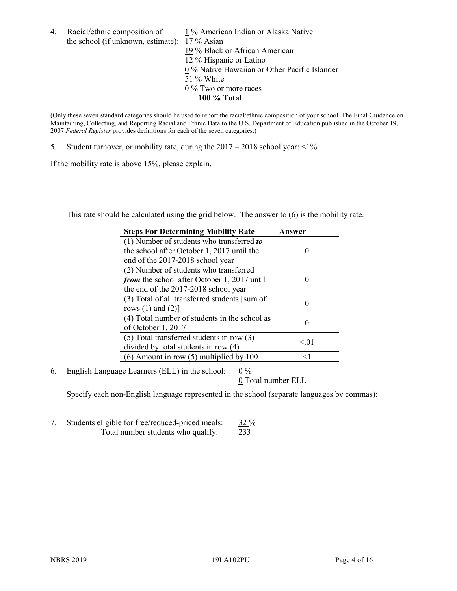4. Racial/ethnic composition of  $1\%$  American Indian or Alaska Native the school (if unknown, estimate): 17 % Asian 19 % Black or African American 12 % Hispanic or Latino  $\overline{0\%}$  Native Hawaiian or Other Pacific Islander 51 % White 0 % Two or more races

(Only these seven standard categories should be used to report the racial/ethnic composition of your school. The Final Guidance on Maintaining, Collecting, and Reporting Racial and Ethnic Data to the U.S. Department of Education published in the October 19, 2007 *Federal Register* provides definitions for each of the seven categories.)

**100 % Total**

5. Student turnover, or mobility rate, during the  $2017 - 2018$  school year:  $\leq 1\%$ 

If the mobility rate is above 15%, please explain.

This rate should be calculated using the grid below. The answer to (6) is the mobility rate.

| <b>Steps For Determining Mobility Rate</b>    | Answer |
|-----------------------------------------------|--------|
| (1) Number of students who transferred to     |        |
| the school after October 1, 2017 until the    |        |
| end of the 2017-2018 school year              |        |
| (2) Number of students who transferred        |        |
| from the school after October 1, 2017 until   |        |
| the end of the 2017-2018 school year          |        |
| (3) Total of all transferred students [sum of |        |
| rows $(1)$ and $(2)$ ]                        |        |
| (4) Total number of students in the school as |        |
| of October 1, 2017                            |        |
| $(5)$ Total transferred students in row $(3)$ | < 01   |
| divided by total students in row (4)          |        |
| (6) Amount in row (5) multiplied by 100       | <1     |

6. English Language Learners (ELL) in the school:  $0\%$ 

0 Total number ELL

Specify each non-English language represented in the school (separate languages by commas):

7. Students eligible for free/reduced-priced meals: 32 % Total number students who qualify: 233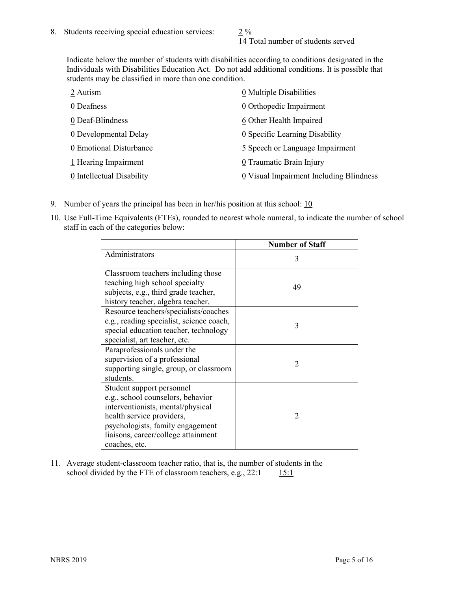14 Total number of students served

Indicate below the number of students with disabilities according to conditions designated in the Individuals with Disabilities Education Act. Do not add additional conditions. It is possible that students may be classified in more than one condition.

| 2 Autism                  | 0 Multiple Disabilities                 |
|---------------------------|-----------------------------------------|
| 0 Deafness                | 0 Orthopedic Impairment                 |
| 0 Deaf-Blindness          | 6 Other Health Impaired                 |
| 0 Developmental Delay     | 0 Specific Learning Disability          |
| 0 Emotional Disturbance   | 5 Speech or Language Impairment         |
| 1 Hearing Impairment      | 0 Traumatic Brain Injury                |
| 0 Intellectual Disability | 0 Visual Impairment Including Blindness |

- 9. Number of years the principal has been in her/his position at this school:  $10$
- 10. Use Full-Time Equivalents (FTEs), rounded to nearest whole numeral, to indicate the number of school staff in each of the categories below:

|                                                                                                                                                                                                                              | <b>Number of Staff</b>      |
|------------------------------------------------------------------------------------------------------------------------------------------------------------------------------------------------------------------------------|-----------------------------|
| Administrators                                                                                                                                                                                                               | 3                           |
| Classroom teachers including those<br>teaching high school specialty<br>subjects, e.g., third grade teacher,<br>history teacher, algebra teacher.                                                                            | 49                          |
| Resource teachers/specialists/coaches<br>e.g., reading specialist, science coach,<br>special education teacher, technology<br>specialist, art teacher, etc.                                                                  | 3                           |
| Paraprofessionals under the<br>supervision of a professional<br>supporting single, group, or classroom<br>students.                                                                                                          | $\mathcal{D}_{\mathcal{A}}$ |
| Student support personnel<br>e.g., school counselors, behavior<br>interventionists, mental/physical<br>health service providers,<br>psychologists, family engagement<br>liaisons, career/college attainment<br>coaches, etc. | $\mathcal{D}$               |

11. Average student-classroom teacher ratio, that is, the number of students in the school divided by the FTE of classroom teachers, e.g.,  $22:1$  15:1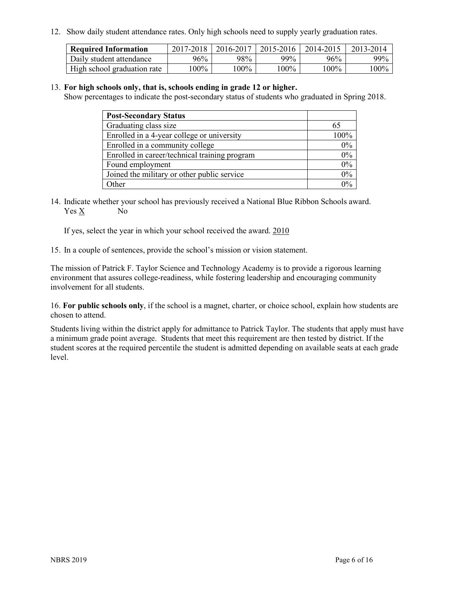12. Show daily student attendance rates. Only high schools need to supply yearly graduation rates.

| <b>Required Information</b> | 2017-2018 | 2016-2017 | 2015-2016 | 2014-2015 | 2013-2014 |
|-----------------------------|-----------|-----------|-----------|-----------|-----------|
| Daily student attendance    | 96%       | 98%       | 99%       | 96%       | $99\%$    |
| High school graduation rate | l00%      | $00\%$    | $00\%$    | $100\%$   | $100\%$   |

#### 13. **For high schools only, that is, schools ending in grade 12 or higher.**

Show percentages to indicate the post-secondary status of students who graduated in Spring 2018.

| <b>Post-Secondary Status</b>                  |      |
|-----------------------------------------------|------|
| Graduating class size                         |      |
| Enrolled in a 4-year college or university    | 100% |
| Enrolled in a community college               | 0%   |
| Enrolled in career/technical training program | 0%   |
| Found employment                              | 0%   |
| Joined the military or other public service   | 0%   |
| Other                                         |      |

14. Indicate whether your school has previously received a National Blue Ribbon Schools award. Yes X No

If yes, select the year in which your school received the award. 2010

15. In a couple of sentences, provide the school's mission or vision statement.

The mission of Patrick F. Taylor Science and Technology Academy is to provide a rigorous learning environment that assures college-readiness, while fostering leadership and encouraging community involvement for all students.

16. **For public schools only**, if the school is a magnet, charter, or choice school, explain how students are chosen to attend.

Students living within the district apply for admittance to Patrick Taylor. The students that apply must have a minimum grade point average. Students that meet this requirement are then tested by district. If the student scores at the required percentile the student is admitted depending on available seats at each grade level.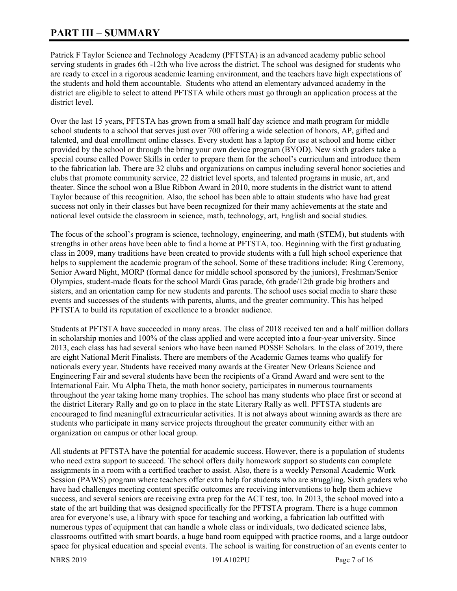# **PART III – SUMMARY**

Patrick F Taylor Science and Technology Academy (PFTSTA) is an advanced academy public school serving students in grades 6th -12th who live across the district. The school was designed for students who are ready to excel in a rigorous academic learning environment, and the teachers have high expectations of the students and hold them accountable. Students who attend an elementary advanced academy in the district are eligible to select to attend PFTSTA while others must go through an application process at the district level.

Over the last 15 years, PFTSTA has grown from a small half day science and math program for middle school students to a school that serves just over 700 offering a wide selection of honors, AP, gifted and talented, and dual enrollment online classes. Every student has a laptop for use at school and home either provided by the school or through the bring your own device program (BYOD). New sixth graders take a special course called Power Skills in order to prepare them for the school's curriculum and introduce them to the fabrication lab. There are 32 clubs and organizations on campus including several honor societies and clubs that promote community service, 22 district level sports, and talented programs in music, art, and theater. Since the school won a Blue Ribbon Award in 2010, more students in the district want to attend Taylor because of this recognition. Also, the school has been able to attain students who have had great success not only in their classes but have been recognized for their many achievements at the state and national level outside the classroom in science, math, technology, art, English and social studies.

The focus of the school's program is science, technology, engineering, and math (STEM), but students with strengths in other areas have been able to find a home at PFTSTA, too. Beginning with the first graduating class in 2009, many traditions have been created to provide students with a full high school experience that helps to supplement the academic program of the school. Some of these traditions include: Ring Ceremony, Senior Award Night, MORP (formal dance for middle school sponsored by the juniors), Freshman/Senior Olympics, student-made floats for the school Mardi Gras parade, 6th grade/12th grade big brothers and sisters, and an orientation camp for new students and parents. The school uses social media to share these events and successes of the students with parents, alums, and the greater community. This has helped PFTSTA to build its reputation of excellence to a broader audience.

Students at PFTSTA have succeeded in many areas. The class of 2018 received ten and a half million dollars in scholarship monies and 100% of the class applied and were accepted into a four-year university. Since 2013, each class has had several seniors who have been named POSSE Scholars. In the class of 2019, there are eight National Merit Finalists. There are members of the Academic Games teams who qualify for nationals every year. Students have received many awards at the Greater New Orleans Science and Engineering Fair and several students have been the recipients of a Grand Award and were sent to the International Fair. Mu Alpha Theta, the math honor society, participates in numerous tournaments throughout the year taking home many trophies. The school has many students who place first or second at the district Literary Rally and go on to place in the state Literary Rally as well. PFTSTA students are encouraged to find meaningful extracurricular activities. It is not always about winning awards as there are students who participate in many service projects throughout the greater community either with an organization on campus or other local group.

All students at PFTSTA have the potential for academic success. However, there is a population of students who need extra support to succeed. The school offers daily homework support so students can complete assignments in a room with a certified teacher to assist. Also, there is a weekly Personal Academic Work Session (PAWS) program where teachers offer extra help for students who are struggling. Sixth graders who have had challenges meeting content specific outcomes are receiving interventions to help them achieve success, and several seniors are receiving extra prep for the ACT test, too. In 2013, the school moved into a state of the art building that was designed specifically for the PFTSTA program. There is a huge common area for everyone's use, a library with space for teaching and working, a fabrication lab outfitted with numerous types of equipment that can handle a whole class or individuals, two dedicated science labs, classrooms outfitted with smart boards, a huge band room equipped with practice rooms, and a large outdoor space for physical education and special events. The school is waiting for construction of an events center to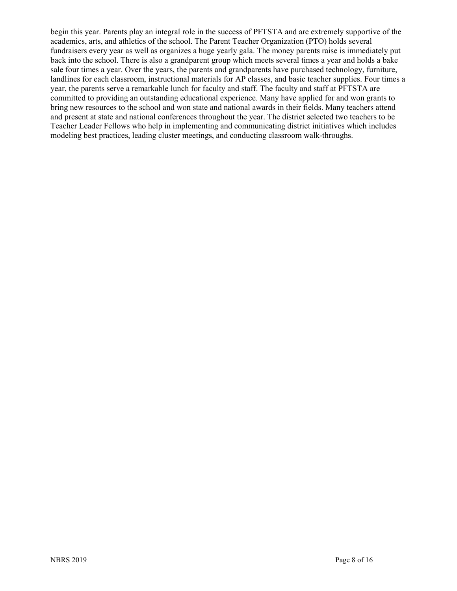begin this year. Parents play an integral role in the success of PFTSTA and are extremely supportive of the academics, arts, and athletics of the school. The Parent Teacher Organization (PTO) holds several fundraisers every year as well as organizes a huge yearly gala. The money parents raise is immediately put back into the school. There is also a grandparent group which meets several times a year and holds a bake sale four times a year. Over the years, the parents and grandparents have purchased technology, furniture, landlines for each classroom, instructional materials for AP classes, and basic teacher supplies. Four times a year, the parents serve a remarkable lunch for faculty and staff. The faculty and staff at PFTSTA are committed to providing an outstanding educational experience. Many have applied for and won grants to bring new resources to the school and won state and national awards in their fields. Many teachers attend and present at state and national conferences throughout the year. The district selected two teachers to be Teacher Leader Fellows who help in implementing and communicating district initiatives which includes modeling best practices, leading cluster meetings, and conducting classroom walk-throughs.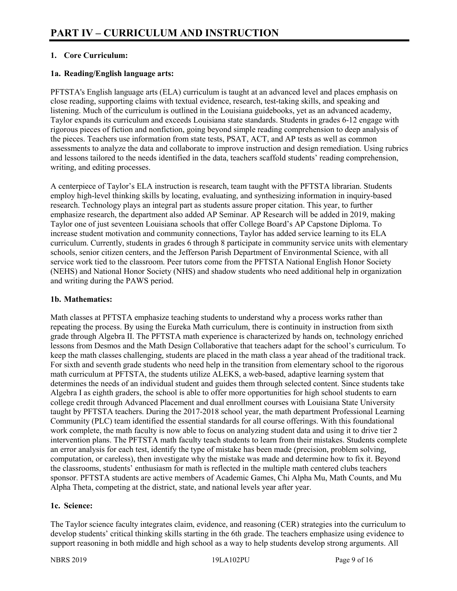# **1. Core Curriculum:**

# **1a. Reading/English language arts:**

PFTSTA's English language arts (ELA) curriculum is taught at an advanced level and places emphasis on close reading, supporting claims with textual evidence, research, test-taking skills, and speaking and listening. Much of the curriculum is outlined in the Louisiana guidebooks, yet as an advanced academy, Taylor expands its curriculum and exceeds Louisiana state standards. Students in grades 6-12 engage with rigorous pieces of fiction and nonfiction, going beyond simple reading comprehension to deep analysis of the pieces. Teachers use information from state tests, PSAT, ACT, and AP tests as well as common assessments to analyze the data and collaborate to improve instruction and design remediation. Using rubrics and lessons tailored to the needs identified in the data, teachers scaffold students' reading comprehension, writing, and editing processes.

A centerpiece of Taylor's ELA instruction is research, team taught with the PFTSTA librarian. Students employ high-level thinking skills by locating, evaluating, and synthesizing information in inquiry-based research. Technology plays an integral part as students assure proper citation. This year, to further emphasize research, the department also added AP Seminar. AP Research will be added in 2019, making Taylor one of just seventeen Louisiana schools that offer College Board's AP Capstone Diploma. To increase student motivation and community connections, Taylor has added service learning to its ELA curriculum. Currently, students in grades 6 through 8 participate in community service units with elementary schools, senior citizen centers, and the Jefferson Parish Department of Environmental Science, with all service work tied to the classroom. Peer tutors come from the PFTSTA National English Honor Society (NEHS) and National Honor Society (NHS) and shadow students who need additional help in organization and writing during the PAWS period.

#### **1b. Mathematics:**

Math classes at PFTSTA emphasize teaching students to understand why a process works rather than repeating the process. By using the Eureka Math curriculum, there is continuity in instruction from sixth grade through Algebra II. The PFTSTA math experience is characterized by hands on, technology enriched lessons from Desmos and the Math Design Collaborative that teachers adapt for the school's curriculum. To keep the math classes challenging, students are placed in the math class a year ahead of the traditional track. For sixth and seventh grade students who need help in the transition from elementary school to the rigorous math curriculum at PFTSTA, the students utilize ALEKS, a web-based, adaptive learning system that determines the needs of an individual student and guides them through selected content. Since students take Algebra I as eighth graders, the school is able to offer more opportunities for high school students to earn college credit through Advanced Placement and dual enrollment courses with Louisiana State University taught by PFTSTA teachers. During the 2017-2018 school year, the math department Professional Learning Community (PLC) team identified the essential standards for all course offerings. With this foundational work complete, the math faculty is now able to focus on analyzing student data and using it to drive tier 2 intervention plans. The PFTSTA math faculty teach students to learn from their mistakes. Students complete an error analysis for each test, identify the type of mistake has been made (precision, problem solving, computation, or careless), then investigate why the mistake was made and determine how to fix it. Beyond the classrooms, students' enthusiasm for math is reflected in the multiple math centered clubs teachers sponsor. PFTSTA students are active members of Academic Games, Chi Alpha Mu, Math Counts, and Mu Alpha Theta, competing at the district, state, and national levels year after year.

#### **1c. Science:**

The Taylor science faculty integrates claim, evidence, and reasoning (CER) strategies into the curriculum to develop students' critical thinking skills starting in the 6th grade. The teachers emphasize using evidence to support reasoning in both middle and high school as a way to help students develop strong arguments. All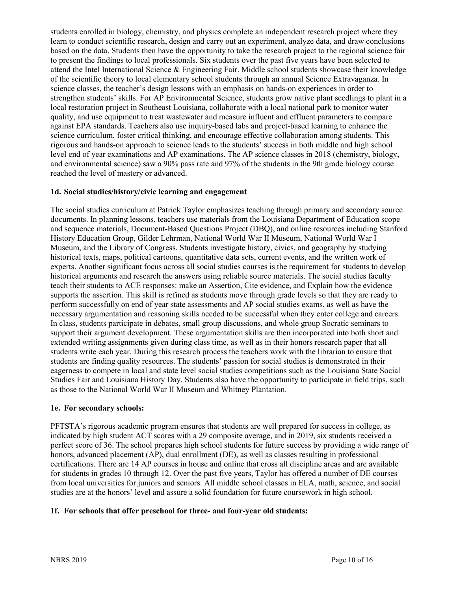students enrolled in biology, chemistry, and physics complete an independent research project where they learn to conduct scientific research, design and carry out an experiment, analyze data, and draw conclusions based on the data. Students then have the opportunity to take the research project to the regional science fair to present the findings to local professionals. Six students over the past five years have been selected to attend the Intel International Science & Engineering Fair. Middle school students showcase their knowledge of the scientific theory to local elementary school students through an annual Science Extravaganza. In science classes, the teacher's design lessons with an emphasis on hands-on experiences in order to strengthen students' skills. For AP Environmental Science, students grow native plant seedlings to plant in a local restoration project in Southeast Louisiana, collaborate with a local national park to monitor water quality, and use equipment to treat wastewater and measure influent and effluent parameters to compare against EPA standards. Teachers also use inquiry-based labs and project-based learning to enhance the science curriculum, foster critical thinking, and encourage effective collaboration among students. This rigorous and hands-on approach to science leads to the students' success in both middle and high school level end of year examinations and AP examinations. The AP science classes in 2018 (chemistry, biology, and environmental science) saw a 90% pass rate and 97% of the students in the 9th grade biology course reached the level of mastery or advanced.

#### **1d. Social studies/history/civic learning and engagement**

The social studies curriculum at Patrick Taylor emphasizes teaching through primary and secondary source documents. In planning lessons, teachers use materials from the Louisiana Department of Education scope and sequence materials, Document-Based Questions Project (DBQ), and online resources including Stanford History Education Group, Gilder Lehrman, National World War II Museum, National World War I Museum, and the Library of Congress. Students investigate history, civics, and geography by studying historical texts, maps, political cartoons, quantitative data sets, current events, and the written work of experts. Another significant focus across all social studies courses is the requirement for students to develop historical arguments and research the answers using reliable source materials. The social studies faculty teach their students to ACE responses: make an Assertion, Cite evidence, and Explain how the evidence supports the assertion. This skill is refined as students move through grade levels so that they are ready to perform successfully on end of year state assessments and AP social studies exams, as well as have the necessary argumentation and reasoning skills needed to be successful when they enter college and careers. In class, students participate in debates, small group discussions, and whole group Socratic seminars to support their argument development. These argumentation skills are then incorporated into both short and extended writing assignments given during class time, as well as in their honors research paper that all students write each year. During this research process the teachers work with the librarian to ensure that students are finding quality resources. The students' passion for social studies is demonstrated in their eagerness to compete in local and state level social studies competitions such as the Louisiana State Social Studies Fair and Louisiana History Day. Students also have the opportunity to participate in field trips, such as those to the National World War II Museum and Whitney Plantation.

#### **1e. For secondary schools:**

PFTSTA's rigorous academic program ensures that students are well prepared for success in college, as indicated by high student ACT scores with a 29 composite average, and in 2019, six students received a perfect score of 36. The school prepares high school students for future success by providing a wide range of honors, advanced placement (AP), dual enrollment (DE), as well as classes resulting in professional certifications. There are 14 AP courses in house and online that cross all discipline areas and are available for students in grades 10 through 12. Over the past five years, Taylor has offered a number of DE courses from local universities for juniors and seniors. All middle school classes in ELA, math, science, and social studies are at the honors' level and assure a solid foundation for future coursework in high school.

# **1f. For schools that offer preschool for three- and four-year old students:**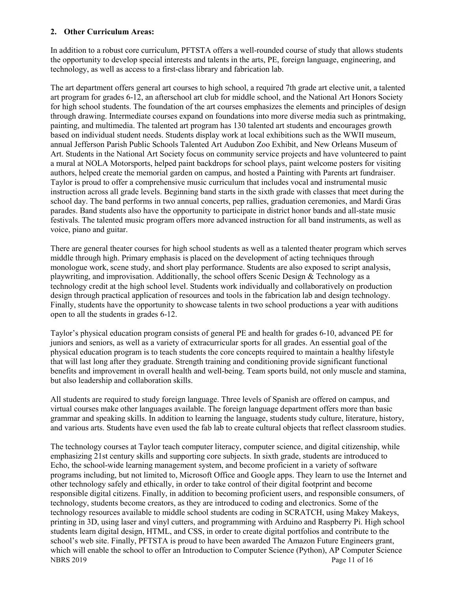#### **2. Other Curriculum Areas:**

In addition to a robust core curriculum, PFTSTA offers a well-rounded course of study that allows students the opportunity to develop special interests and talents in the arts, PE, foreign language, engineering, and technology, as well as access to a first-class library and fabrication lab.

The art department offers general art courses to high school, a required 7th grade art elective unit, a talented art program for grades 6-12, an afterschool art club for middle school, and the National Art Honors Society for high school students. The foundation of the art courses emphasizes the elements and principles of design through drawing. Intermediate courses expand on foundations into more diverse media such as printmaking, painting, and multimedia. The talented art program has 130 talented art students and encourages growth based on individual student needs. Students display work at local exhibitions such as the WWII museum, annual Jefferson Parish Public Schools Talented Art Audubon Zoo Exhibit, and New Orleans Museum of Art. Students in the National Art Society focus on community service projects and have volunteered to paint a mural at NOLA Motorsports, helped paint backdrops for school plays, paint welcome posters for visiting authors, helped create the memorial garden on campus, and hosted a Painting with Parents art fundraiser. Taylor is proud to offer a comprehensive music curriculum that includes vocal and instrumental music instruction across all grade levels. Beginning band starts in the sixth grade with classes that meet during the school day. The band performs in two annual concerts, pep rallies, graduation ceremonies, and Mardi Gras parades. Band students also have the opportunity to participate in district honor bands and all-state music festivals. The talented music program offers more advanced instruction for all band instruments, as well as voice, piano and guitar.

There are general theater courses for high school students as well as a talented theater program which serves middle through high. Primary emphasis is placed on the development of acting techniques through monologue work, scene study, and short play performance. Students are also exposed to script analysis, playwriting, and improvisation. Additionally, the school offers Scenic Design & Technology as a technology credit at the high school level. Students work individually and collaboratively on production design through practical application of resources and tools in the fabrication lab and design technology. Finally, students have the opportunity to showcase talents in two school productions a year with auditions open to all the students in grades 6-12.

Taylor's physical education program consists of general PE and health for grades 6-10, advanced PE for juniors and seniors, as well as a variety of extracurricular sports for all grades. An essential goal of the physical education program is to teach students the core concepts required to maintain a healthy lifestyle that will last long after they graduate. Strength training and conditioning provide significant functional benefits and improvement in overall health and well-being. Team sports build, not only muscle and stamina, but also leadership and collaboration skills.

All students are required to study foreign language. Three levels of Spanish are offered on campus, and virtual courses make other languages available. The foreign language department offers more than basic grammar and speaking skills. In addition to learning the language, students study culture, literature, history, and various arts. Students have even used the fab lab to create cultural objects that reflect classroom studies.

NBRS 2019 Page 11 of 16 The technology courses at Taylor teach computer literacy, computer science, and digital citizenship, while emphasizing 21st century skills and supporting core subjects. In sixth grade, students are introduced to Echo, the school-wide learning management system, and become proficient in a variety of software programs including, but not limited to, Microsoft Office and Google apps. They learn to use the Internet and other technology safely and ethically, in order to take control of their digital footprint and become responsible digital citizens. Finally, in addition to becoming proficient users, and responsible consumers, of technology, students become creators, as they are introduced to coding and electronics. Some of the technology resources available to middle school students are coding in SCRATCH, using Makey Makeys, printing in 3D, using laser and vinyl cutters, and programming with Arduino and Raspberry Pi. High school students learn digital design, HTML, and CSS, in order to create digital portfolios and contribute to the school's web site. Finally, PFTSTA is proud to have been awarded The Amazon Future Engineers grant, which will enable the school to offer an Introduction to Computer Science (Python), AP Computer Science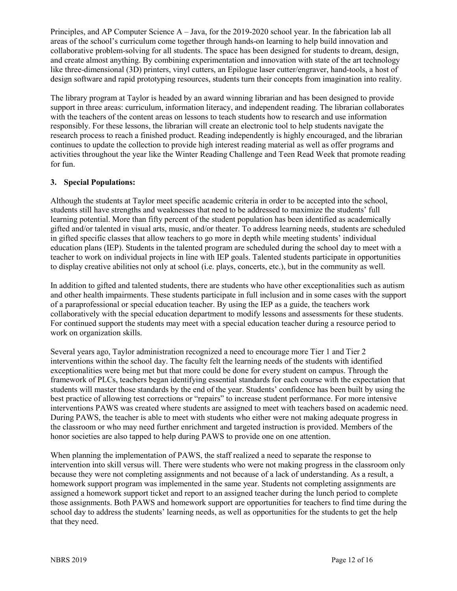Principles, and AP Computer Science A – Java, for the 2019-2020 school year. In the fabrication lab all areas of the school's curriculum come together through hands-on learning to help build innovation and collaborative problem-solving for all students. The space has been designed for students to dream, design, and create almost anything. By combining experimentation and innovation with state of the art technology like three-dimensional (3D) printers, vinyl cutters, an Epilogue laser cutter/engraver, hand-tools, a host of design software and rapid prototyping resources, students turn their concepts from imagination into reality.

The library program at Taylor is headed by an award winning librarian and has been designed to provide support in three areas: curriculum, information literacy, and independent reading. The librarian collaborates with the teachers of the content areas on lessons to teach students how to research and use information responsibly. For these lessons, the librarian will create an electronic tool to help students navigate the research process to reach a finished product. Reading independently is highly encouraged, and the librarian continues to update the collection to provide high interest reading material as well as offer programs and activities throughout the year like the Winter Reading Challenge and Teen Read Week that promote reading for fun.

# **3. Special Populations:**

Although the students at Taylor meet specific academic criteria in order to be accepted into the school, students still have strengths and weaknesses that need to be addressed to maximize the students' full learning potential. More than fifty percent of the student population has been identified as academically gifted and/or talented in visual arts, music, and/or theater. To address learning needs, students are scheduled in gifted specific classes that allow teachers to go more in depth while meeting students' individual education plans (IEP). Students in the talented program are scheduled during the school day to meet with a teacher to work on individual projects in line with IEP goals. Talented students participate in opportunities to display creative abilities not only at school (i.e. plays, concerts, etc.), but in the community as well.

In addition to gifted and talented students, there are students who have other exceptionalities such as autism and other health impairments. These students participate in full inclusion and in some cases with the support of a paraprofessional or special education teacher. By using the IEP as a guide, the teachers work collaboratively with the special education department to modify lessons and assessments for these students. For continued support the students may meet with a special education teacher during a resource period to work on organization skills.

Several years ago, Taylor administration recognized a need to encourage more Tier 1 and Tier 2 interventions within the school day. The faculty felt the learning needs of the students with identified exceptionalities were being met but that more could be done for every student on campus. Through the framework of PLCs, teachers began identifying essential standards for each course with the expectation that students will master those standards by the end of the year. Students' confidence has been built by using the best practice of allowing test corrections or "repairs" to increase student performance. For more intensive interventions PAWS was created where students are assigned to meet with teachers based on academic need. During PAWS, the teacher is able to meet with students who either were not making adequate progress in the classroom or who may need further enrichment and targeted instruction is provided. Members of the honor societies are also tapped to help during PAWS to provide one on one attention.

When planning the implementation of PAWS, the staff realized a need to separate the response to intervention into skill versus will. There were students who were not making progress in the classroom only because they were not completing assignments and not because of a lack of understanding. As a result, a homework support program was implemented in the same year. Students not completing assignments are assigned a homework support ticket and report to an assigned teacher during the lunch period to complete those assignments. Both PAWS and homework support are opportunities for teachers to find time during the school day to address the students' learning needs, as well as opportunities for the students to get the help that they need.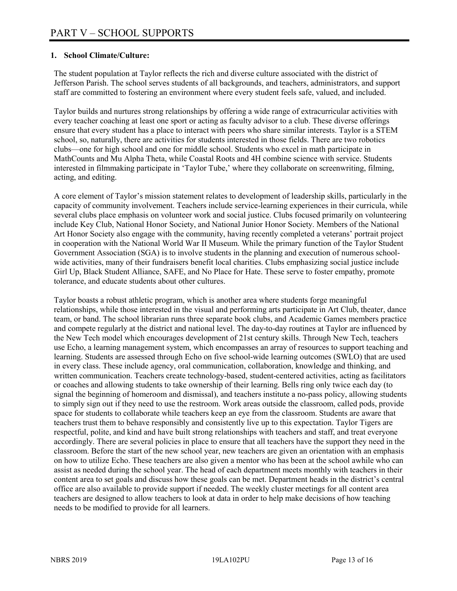## **1. School Climate/Culture:**

The student population at Taylor reflects the rich and diverse culture associated with the district of Jefferson Parish. The school serves students of all backgrounds, and teachers, administrators, and support staff are committed to fostering an environment where every student feels safe, valued, and included.

Taylor builds and nurtures strong relationships by offering a wide range of extracurricular activities with every teacher coaching at least one sport or acting as faculty advisor to a club. These diverse offerings ensure that every student has a place to interact with peers who share similar interests. Taylor is a STEM school, so, naturally, there are activities for students interested in those fields. There are two robotics clubs—one for high school and one for middle school. Students who excel in math participate in MathCounts and Mu Alpha Theta, while Coastal Roots and 4H combine science with service. Students interested in filmmaking participate in 'Taylor Tube,' where they collaborate on screenwriting, filming, acting, and editing.

A core element of Taylor's mission statement relates to development of leadership skills, particularly in the capacity of community involvement. Teachers include service-learning experiences in their curricula, while several clubs place emphasis on volunteer work and social justice. Clubs focused primarily on volunteering include Key Club, National Honor Society, and National Junior Honor Society. Members of the National Art Honor Society also engage with the community, having recently completed a veterans' portrait project in cooperation with the National World War II Museum. While the primary function of the Taylor Student Government Association (SGA) is to involve students in the planning and execution of numerous schoolwide activities, many of their fundraisers benefit local charities. Clubs emphasizing social justice include Girl Up, Black Student Alliance, SAFE, and No Place for Hate. These serve to foster empathy, promote tolerance, and educate students about other cultures.

Taylor boasts a robust athletic program, which is another area where students forge meaningful relationships, while those interested in the visual and performing arts participate in Art Club, theater, dance team, or band. The school librarian runs three separate book clubs, and Academic Games members practice and compete regularly at the district and national level. The day-to-day routines at Taylor are influenced by the New Tech model which encourages development of 21st century skills. Through New Tech, teachers use Echo, a learning management system, which encompasses an array of resources to support teaching and learning. Students are assessed through Echo on five school-wide learning outcomes (SWLO) that are used in every class. These include agency, oral communication, collaboration, knowledge and thinking, and written communication. Teachers create technology-based, student-centered activities, acting as facilitators or coaches and allowing students to take ownership of their learning. Bells ring only twice each day (to signal the beginning of homeroom and dismissal), and teachers institute a no-pass policy, allowing students to simply sign out if they need to use the restroom. Work areas outside the classroom, called pods, provide space for students to collaborate while teachers keep an eye from the classroom. Students are aware that teachers trust them to behave responsibly and consistently live up to this expectation. Taylor Tigers are respectful, polite, and kind and have built strong relationships with teachers and staff, and treat everyone accordingly. There are several policies in place to ensure that all teachers have the support they need in the classroom. Before the start of the new school year, new teachers are given an orientation with an emphasis on how to utilize Echo. These teachers are also given a mentor who has been at the school awhile who can assist as needed during the school year. The head of each department meets monthly with teachers in their content area to set goals and discuss how these goals can be met. Department heads in the district's central office are also available to provide support if needed. The weekly cluster meetings for all content area teachers are designed to allow teachers to look at data in order to help make decisions of how teaching needs to be modified to provide for all learners.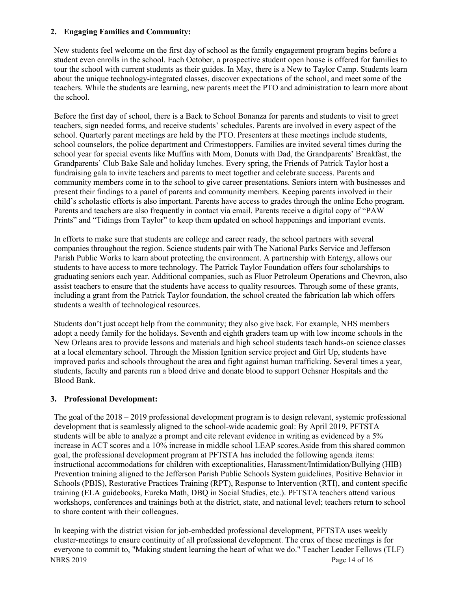## **2. Engaging Families and Community:**

New students feel welcome on the first day of school as the family engagement program begins before a student even enrolls in the school. Each October, a prospective student open house is offered for families to tour the school with current students as their guides. In May, there is a New to Taylor Camp. Students learn about the unique technology-integrated classes, discover expectations of the school, and meet some of the teachers. While the students are learning, new parents meet the PTO and administration to learn more about the school.

Before the first day of school, there is a Back to School Bonanza for parents and students to visit to greet teachers, sign needed forms, and receive students' schedules. Parents are involved in every aspect of the school. Quarterly parent meetings are held by the PTO. Presenters at these meetings include students, school counselors, the police department and Crimestoppers. Families are invited several times during the school year for special events like Muffins with Mom, Donuts with Dad, the Grandparents' Breakfast, the Grandparents' Club Bake Sale and holiday lunches. Every spring, the Friends of Patrick Taylor host a fundraising gala to invite teachers and parents to meet together and celebrate success. Parents and community members come in to the school to give career presentations. Seniors intern with businesses and present their findings to a panel of parents and community members. Keeping parents involved in their child's scholastic efforts is also important. Parents have access to grades through the online Echo program. Parents and teachers are also frequently in contact via email. Parents receive a digital copy of "PAW Prints" and "Tidings from Taylor" to keep them updated on school happenings and important events.

In efforts to make sure that students are college and career ready, the school partners with several companies throughout the region. Science students pair with The National Parks Service and Jefferson Parish Public Works to learn about protecting the environment. A partnership with Entergy, allows our students to have access to more technology. The Patrick Taylor Foundation offers four scholarships to graduating seniors each year. Additional companies, such as Fluor Petroleum Operations and Chevron, also assist teachers to ensure that the students have access to quality resources. Through some of these grants, including a grant from the Patrick Taylor foundation, the school created the fabrication lab which offers students a wealth of technological resources.

Students don't just accept help from the community; they also give back. For example, NHS members adopt a needy family for the holidays. Seventh and eighth graders team up with low income schools in the New Orleans area to provide lessons and materials and high school students teach hands-on science classes at a local elementary school. Through the Mission Ignition service project and Girl Up, students have improved parks and schools throughout the area and fight against human trafficking. Several times a year, students, faculty and parents run a blood drive and donate blood to support Ochsner Hospitals and the Blood Bank.

# **3. Professional Development:**

The goal of the  $2018 - 2019$  professional development program is to design relevant, systemic professional development that is seamlessly aligned to the school-wide academic goal: By April 2019, PFTSTA students will be able to analyze a prompt and cite relevant evidence in writing as evidenced by a 5% increase in ACT scores and a 10% increase in middle school LEAP scores.Aside from this shared common goal, the professional development program at PFTSTA has included the following agenda items: instructional accommodations for children with exceptionalities, Harassment/Intimidation/Bullying (HIB) Prevention training aligned to the Jefferson Parish Public Schools System guidelines, Positive Behavior in Schools (PBIS), Restorative Practices Training (RPT), Response to Intervention (RTI), and content specific training (ELA guidebooks, Eureka Math, DBQ in Social Studies, etc.). PFTSTA teachers attend various workshops, conferences and trainings both at the district, state, and national level; teachers return to school to share content with their colleagues.

NBRS 2019 Page 14 of 16 In keeping with the district vision for job-embedded professional development, PFTSTA uses weekly cluster-meetings to ensure continuity of all professional development. The crux of these meetings is for everyone to commit to, "Making student learning the heart of what we do." Teacher Leader Fellows (TLF)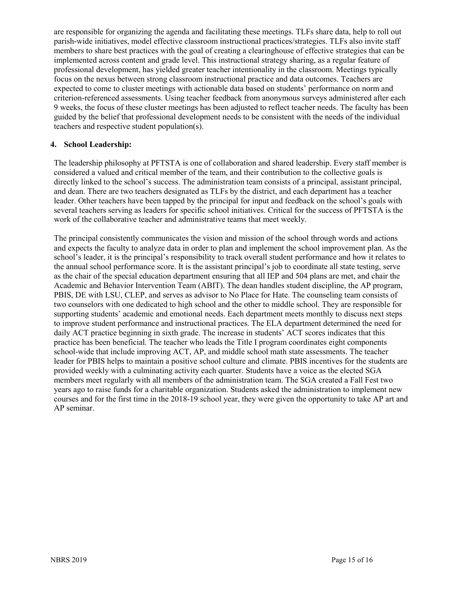are responsible for organizing the agenda and facilitating these meetings. TLFs share data, help to roll out parish-wide initiatives, model effective classroom instructional practices/strategies. TLFs also invite staff members to share best practices with the goal of creating a clearinghouse of effective strategies that can be implemented across content and grade level. This instructional strategy sharing, as a regular feature of professional development, has yielded greater teacher intentionality in the classroom. Meetings typically focus on the nexus between strong classroom instructional practice and data outcomes. Teachers are expected to come to cluster meetings with actionable data based on students' performance on norm and criterion-referenced assessments. Using teacher feedback from anonymous surveys administered after each 9 weeks, the focus of these cluster meetings has been adjusted to reflect teacher needs. The faculty has been guided by the belief that professional development needs to be consistent with the needs of the individual teachers and respective student population(s).

#### **4. School Leadership:**

The leadership philosophy at PFTSTA is one of collaboration and shared leadership. Every staff member is considered a valued and critical member of the team, and their contribution to the collective goals is directly linked to the school's success. The administration team consists of a principal, assistant principal, and dean. There are two teachers designated as TLFs by the district, and each department has a teacher leader. Other teachers have been tapped by the principal for input and feedback on the school's goals with several teachers serving as leaders for specific school initiatives. Critical for the success of PFTSTA is the work of the collaborative teacher and administrative teams that meet weekly.

The principal consistently communicates the vision and mission of the school through words and actions and expects the faculty to analyze data in order to plan and implement the school improvement plan. As the school's leader, it is the principal's responsibility to track overall student performance and how it relates to the annual school performance score. It is the assistant principal's job to coordinate all state testing, serve as the chair of the special education department ensuring that all IEP and 504 plans are met, and chair the Academic and Behavior Intervention Team (ABIT). The dean handles student discipline, the AP program, PBIS, DE with LSU, CLEP, and serves as advisor to No Place for Hate. The counseling team consists of two counselors with one dedicated to high school and the other to middle school. They are responsible for supporting students' academic and emotional needs. Each department meets monthly to discuss next steps to improve student performance and instructional practices. The ELA department determined the need for daily ACT practice beginning in sixth grade. The increase in students' ACT scores indicates that this practice has been beneficial. The teacher who leads the Title I program coordinates eight components school-wide that include improving ACT, AP, and middle school math state assessments. The teacher leader for PBIS helps to maintain a positive school culture and climate. PBIS incentives for the students are provided weekly with a culminating activity each quarter. Students have a voice as the elected SGA members meet regularly with all members of the administration team. The SGA created a Fall Fest two years ago to raise funds for a charitable organization. Students asked the administration to implement new courses and for the first time in the 2018-19 school year, they were given the opportunity to take AP art and AP seminar.